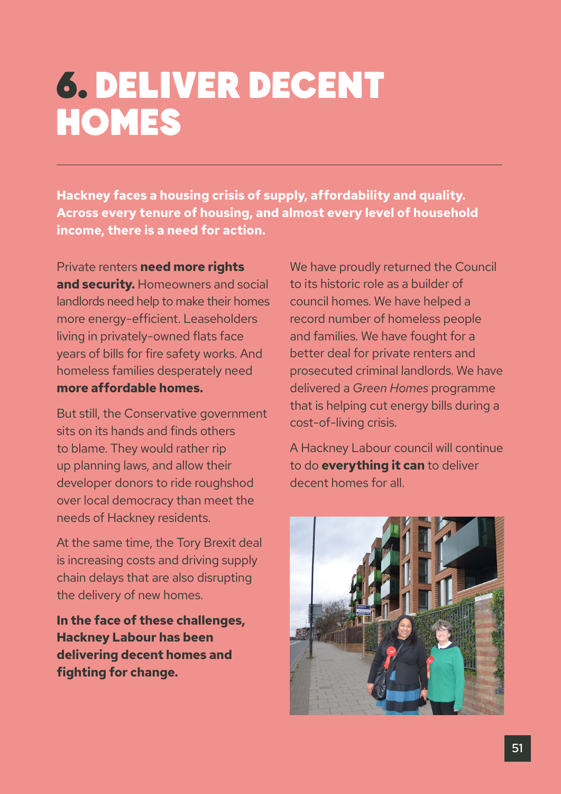# 6. DELIVER DECENT **HOMES**

**Hackney faces a housing crisis of supply, affordability and quality. Across every tenure of housing, and almost every level of household income, there is a need for action.** 

Private renters **need more rights and security.** Homeowners and social landlords need help to make their homes more energy-efficient. Leaseholders living in privately-owned flats face years of bills for fire safety works. And homeless families desperately need **more affordable homes.**

But still, the Conservative government sits on its hands and finds others to blame. They would rather rip up planning laws, and allow their developer donors to ride roughshod over local democracy than meet the needs of Hackney residents.

At the same time, the Tory Brexit deal is increasing costs and driving supply chain delays that are also disrupting the delivery of new homes.

**In the face of these challenges, Hackney Labour has been delivering decent homes and fighting for change.** 

We have proudly returned the Council to its historic role as a builder of council homes. We have helped a record number of homeless people and families. We have fought for a better deal for private renters and prosecuted criminal landlords. We have delivered a *Green Homes* programme that is helping cut energy bills during a cost-of-living crisis.

A Hackney Labour council will continue to do **everything it can** to deliver decent homes for all.

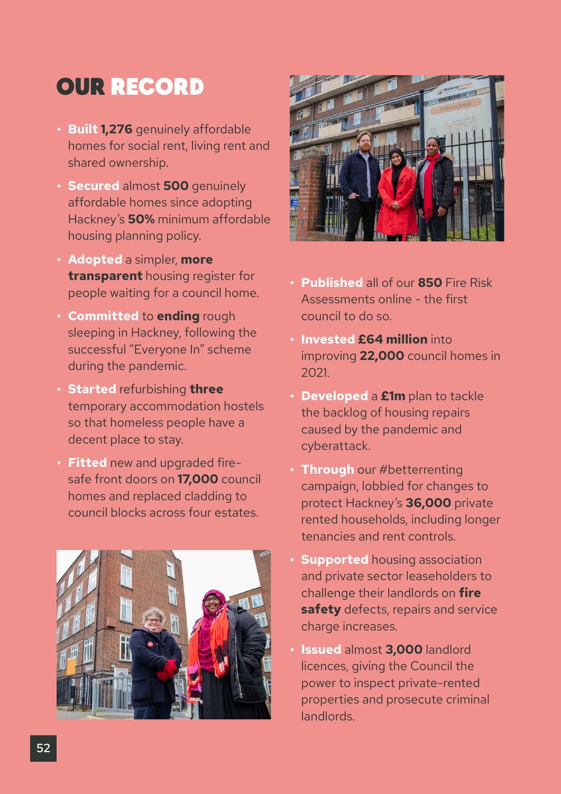### OUR RECORD

- **• Built 1,276** genuinely affordable homes for social rent, living rent and shared ownership.
- **• Secured** almost **500** genuinely affordable homes since adopting Hackney's **50%** minimum affordable housing planning policy.
- **• Adopted** a simpler, **more transparent** housing register for people waiting for a council home.
- **• Committed** to **ending** rough sleeping in Hackney, following the successful "Everyone In" scheme during the pandemic.
- **• Started** refurbishing **three** temporary accommodation hostels so that homeless people have a decent place to stay.
- **• Fitted** new and upgraded firesafe front doors on **17,000** council homes and replaced cladding to council blocks across four estates.





- **• Published** all of our **850** Fire Risk Assessments online - the first council to do so.
- **• Invested £64 million** into improving **22,000** council homes in 2021.
- **• Developed** a **£1m** plan to tackle the backlog of housing repairs caused by the pandemic and cyberattack.
- **• Through** our #betterrenting campaign, lobbied for changes to protect Hackney's **36,000** private rented households, including longer tenancies and rent controls.
- **• Supported** housing association and private sector leaseholders to challenge their landlords on **fire safety** defects, repairs and service charge increases.
- **• Issued** almost **3,000** landlord licences, giving the Council the power to inspect private-rented properties and prosecute criminal landlords.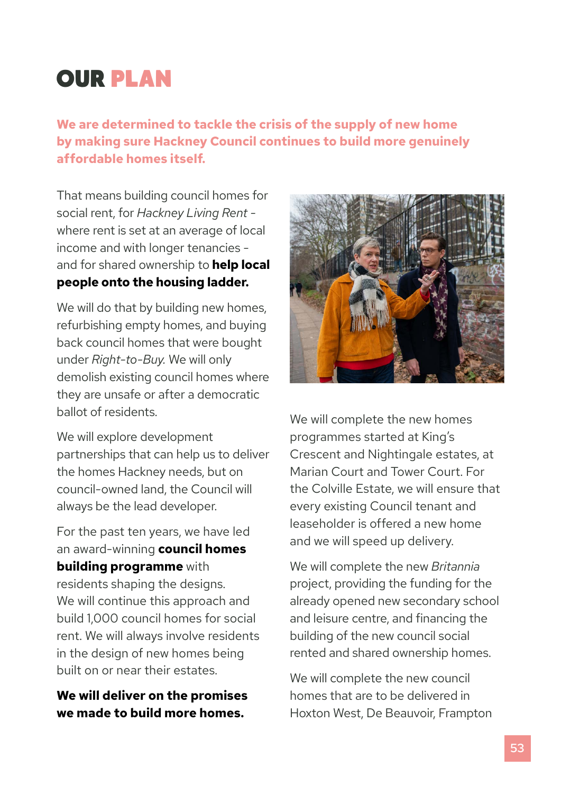## OUR PLAN

**We are determined to tackle the crisis of the supply of new home by making sure Hackney Council continues to build more genuinely affordable homes itself.** 

That means building council homes for social rent, for *Hackney Living Rent*  where rent is set at an average of local income and with longer tenancies and for shared ownership to **help local people onto the housing ladder.** 

We will do that by building new homes, refurbishing empty homes, and buying back council homes that were bought under *Right-to-Buy.* We will only demolish existing council homes where they are unsafe or after a democratic ballot of residents.

We will explore development partnerships that can help us to deliver the homes Hackney needs, but on council-owned land, the Council will always be the lead developer.

For the past ten years, we have led an award-winning **council homes building programme** with residents shaping the designs. We will continue this approach and build 1,000 council homes for social rent. We will always involve residents in the design of new homes being built on or near their estates.

#### **We will deliver on the promises we made to build more homes.**



We will complete the new homes programmes started at King's Crescent and Nightingale estates, at Marian Court and Tower Court. For the Colville Estate, we will ensure that every existing Council tenant and leaseholder is offered a new home and we will speed up delivery.

We will complete the new *Britannia* project, providing the funding for the already opened new secondary school and leisure centre, and financing the building of the new council social rented and shared ownership homes.

We will complete the new council homes that are to be delivered in Hoxton West, De Beauvoir, Frampton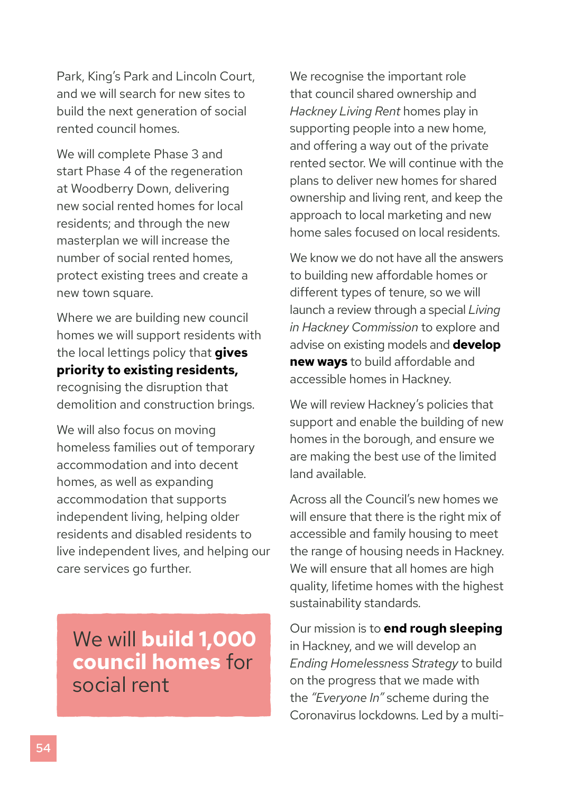Park, King's Park and Lincoln Court, and we will search for new sites to build the next generation of social rented council homes.

We will complete Phase 3 and start Phase 4 of the regeneration at Woodberry Down, delivering new social rented homes for local residents; and through the new masterplan we will increase the number of social rented homes, protect existing trees and create a new town square.

Where we are building new council homes we will support residents with the local lettings policy that **gives priority to existing residents,**  recognising the disruption that demolition and construction brings.

We will also focus on moving homeless families out of temporary accommodation and into decent homes, as well as expanding accommodation that supports independent living, helping older residents and disabled residents to live independent lives, and helping our care services go further.

We will **build 1,000 council homes** for social rent

We recognise the important role that council shared ownership and *Hackney Living Rent* homes play in supporting people into a new home, and offering a way out of the private rented sector. We will continue with the plans to deliver new homes for shared ownership and living rent, and keep the approach to local marketing and new home sales focused on local residents.

We know we do not have all the answers to building new affordable homes or different types of tenure, so we will launch a review through a special *Living in Hackney Commission* to explore and advise on existing models and **develop new ways** to build affordable and accessible homes in Hackney.

We will review Hackney's policies that support and enable the building of new homes in the borough, and ensure we are making the best use of the limited land available.

Across all the Council's new homes we will ensure that there is the right mix of accessible and family housing to meet the range of housing needs in Hackney. We will ensure that all homes are high quality, lifetime homes with the highest sustainability standards.

Our mission is to **end rough sleeping**  in Hackney, and we will develop an *Ending Homelessness Strategy* to build on the progress that we made with the *"Everyone In"* scheme during the Coronavirus lockdowns. Led by a multi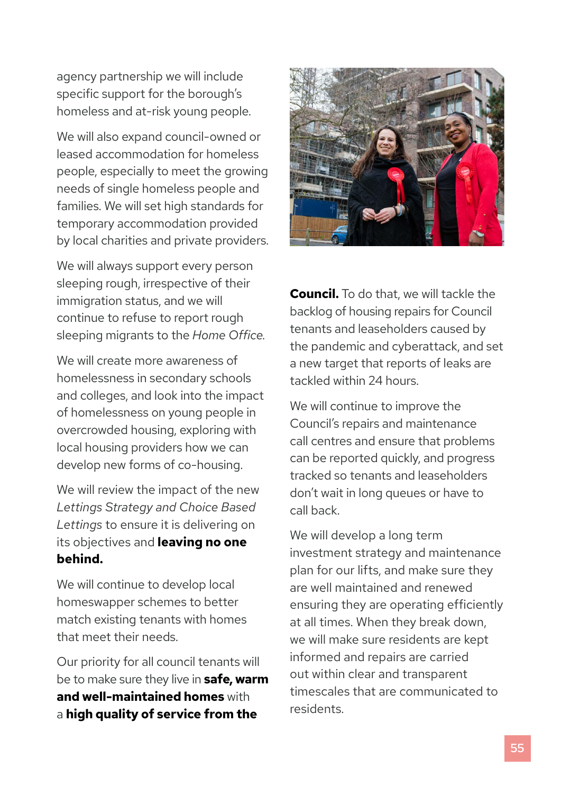agency partnership we will include specific support for the borough's homeless and at-risk young people.

We will also expand council-owned or leased accommodation for homeless people, especially to meet the growing needs of single homeless people and families. We will set high standards for temporary accommodation provided by local charities and private providers.

We will always support every person sleeping rough, irrespective of their immigration status, and we will continue to refuse to report rough sleeping migrants to the *Home Office.*

We will create more awareness of homelessness in secondary schools and colleges, and look into the impact of homelessness on young people in overcrowded housing, exploring with local housing providers how we can develop new forms of co-housing.

We will review the impact of the new *Lettings Strategy and Choice Based Lettings* to ensure it is delivering on its objectives and **leaving no one behind.**

We will continue to develop local homeswapper schemes to better match existing tenants with homes that meet their needs.

Our priority for all council tenants will be to make sure they live in **safe, warm and well-maintained homes** with a **high quality of service from the** 



**Council.** To do that, we will tackle the backlog of housing repairs for Council tenants and leaseholders caused by the pandemic and cyberattack, and set a new target that reports of leaks are tackled within 24 hours.

We will continue to improve the Council's repairs and maintenance call centres and ensure that problems can be reported quickly, and progress tracked so tenants and leaseholders don't wait in long queues or have to call back.

We will develop a long term investment strategy and maintenance plan for our lifts, and make sure they are well maintained and renewed ensuring they are operating efficiently at all times. When they break down, we will make sure residents are kept informed and repairs are carried out within clear and transparent timescales that are communicated to residents.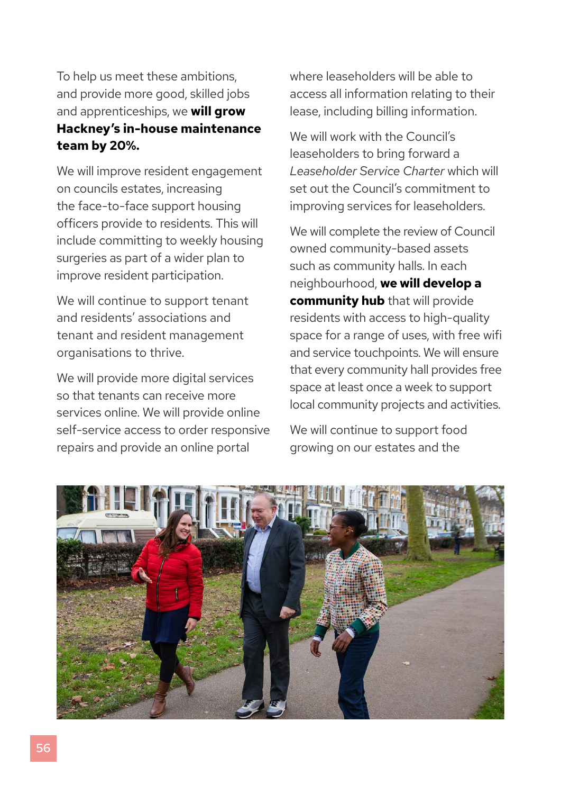To help us meet these ambitions, and provide more good, skilled jobs and apprenticeships, we **will grow Hackney's in-house maintenance team by 20%.** 

We will improve resident engagement on councils estates, increasing the face-to-face support housing officers provide to residents. This will include committing to weekly housing surgeries as part of a wider plan to improve resident participation.

We will continue to support tenant and residents' associations and tenant and resident management organisations to thrive.

We will provide more digital services so that tenants can receive more services online. We will provide online self-service access to order responsive repairs and provide an online portal

where leaseholders will be able to access all information relating to their lease, including billing information.

We will work with the Council's leaseholders to bring forward a *Leaseholder Service Charter* which will set out the Council's commitment to improving services for leaseholders.

We will complete the review of Council owned community-based assets such as community halls. In each neighbourhood, **we will develop a community hub** that will provide residents with access to high-quality space for a range of uses, with free wifi and service touchpoints. We will ensure that every community hall provides free space at least once a week to support local community projects and activities.

We will continue to support food growing on our estates and the

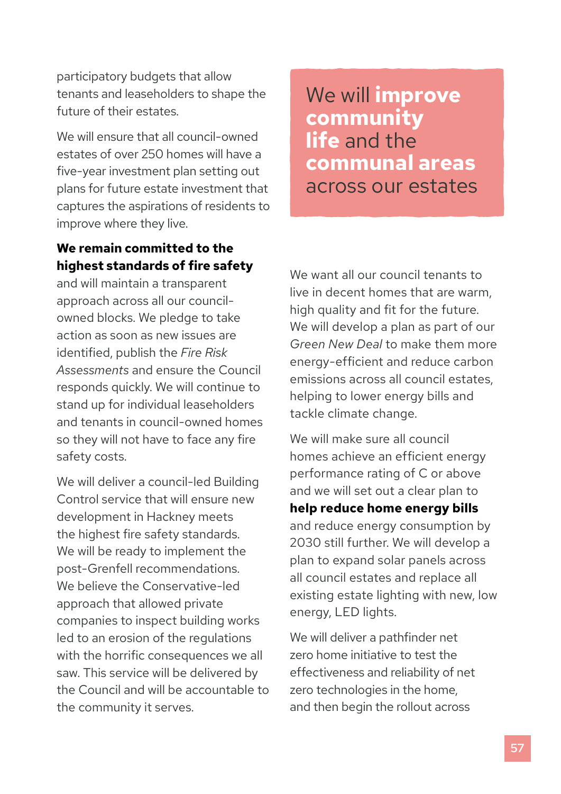participatory budgets that allow tenants and leaseholders to shape the future of their estates.

We will ensure that all council-owned estates of over 250 homes will have a five-year investment plan setting out plans for future estate investment that captures the aspirations of residents to improve where they live.

### **We remain committed to the highest standards of fire safety**

and will maintain a transparent approach across all our councilowned blocks. We pledge to take action as soon as new issues are identified, publish the *Fire Risk Assessments* and ensure the Council responds quickly. We will continue to stand up for individual leaseholders and tenants in council-owned homes so they will not have to face any fire safety costs.

We will deliver a council-led Building Control service that will ensure new development in Hackney meets the highest fire safety standards. We will be ready to implement the post-Grenfell recommendations. We believe the Conservative-led approach that allowed private companies to inspect building works led to an erosion of the regulations with the horrific consequences we all saw. This service will be delivered by the Council and will be accountable to the community it serves.

We will **improve community life** and the **communal areas**  across our estates

We want all our council tenants to live in decent homes that are warm, high quality and fit for the future. We will develop a plan as part of our *Green New Deal* to make them more energy-efficient and reduce carbon emissions across all council estates, helping to lower energy bills and tackle climate change.

We will make sure all council homes achieve an efficient energy performance rating of C or above and we will set out a clear plan to **help reduce home energy bills** and reduce energy consumption by 2030 still further. We will develop a plan to expand solar panels across all council estates and replace all existing estate lighting with new, low energy, LED lights.

We will deliver a pathfinder net zero home initiative to test the effectiveness and reliability of net zero technologies in the home, and then begin the rollout across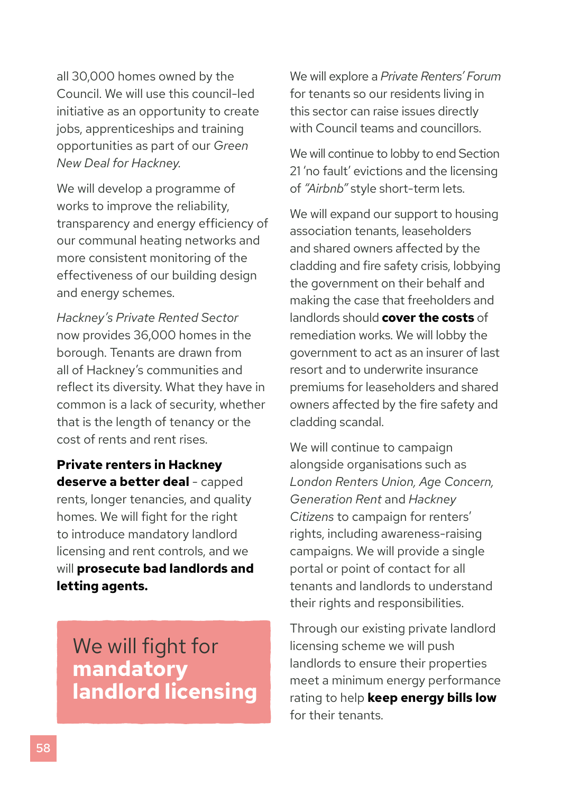all 30,000 homes owned by the Council. We will use this council-led initiative as an opportunity to create jobs, apprenticeships and training opportunities as part of our *Green New Deal for Hackney.*

We will develop a programme of works to improve the reliability, transparency and energy efficiency of our communal heating networks and more consistent monitoring of the effectiveness of our building design and energy schemes.

*Hackney's Private Rented Sector*  now provides 36,000 homes in the borough. Tenants are drawn from all of Hackney's communities and reflect its diversity. What they have in common is a lack of security, whether that is the length of tenancy or the cost of rents and rent rises.

**Private renters in Hackney deserve a better deal** - capped rents, longer tenancies, and quality homes. We will fight for the right to introduce mandatory landlord licensing and rent controls, and we will **prosecute bad landlords and letting agents.**

We will fight for **mandatory landlord licensing** We will explore a *Private Renters' Forum* for tenants so our residents living in this sector can raise issues directly with Council teams and councillors.

We will continue to lobby to end Section 21 'no fault' evictions and the licensing of *"Airbnb"* style short-term lets.

We will expand our support to housing association tenants, leaseholders and shared owners affected by the cladding and fire safety crisis, lobbying the government on their behalf and making the case that freeholders and landlords should **cover the costs** of remediation works. We will lobby the government to act as an insurer of last resort and to underwrite insurance premiums for leaseholders and shared owners affected by the fire safety and cladding scandal.

We will continue to campaign alongside organisations such as *London Renters Union, Age Concern, Generation Rent* and *Hackney Citizens* to campaign for renters' rights, including awareness-raising campaigns. We will provide a single portal or point of contact for all tenants and landlords to understand their rights and responsibilities.

Through our existing private landlord licensing scheme we will push landlords to ensure their properties meet a minimum energy performance rating to help **keep energy bills low** for their tenants.